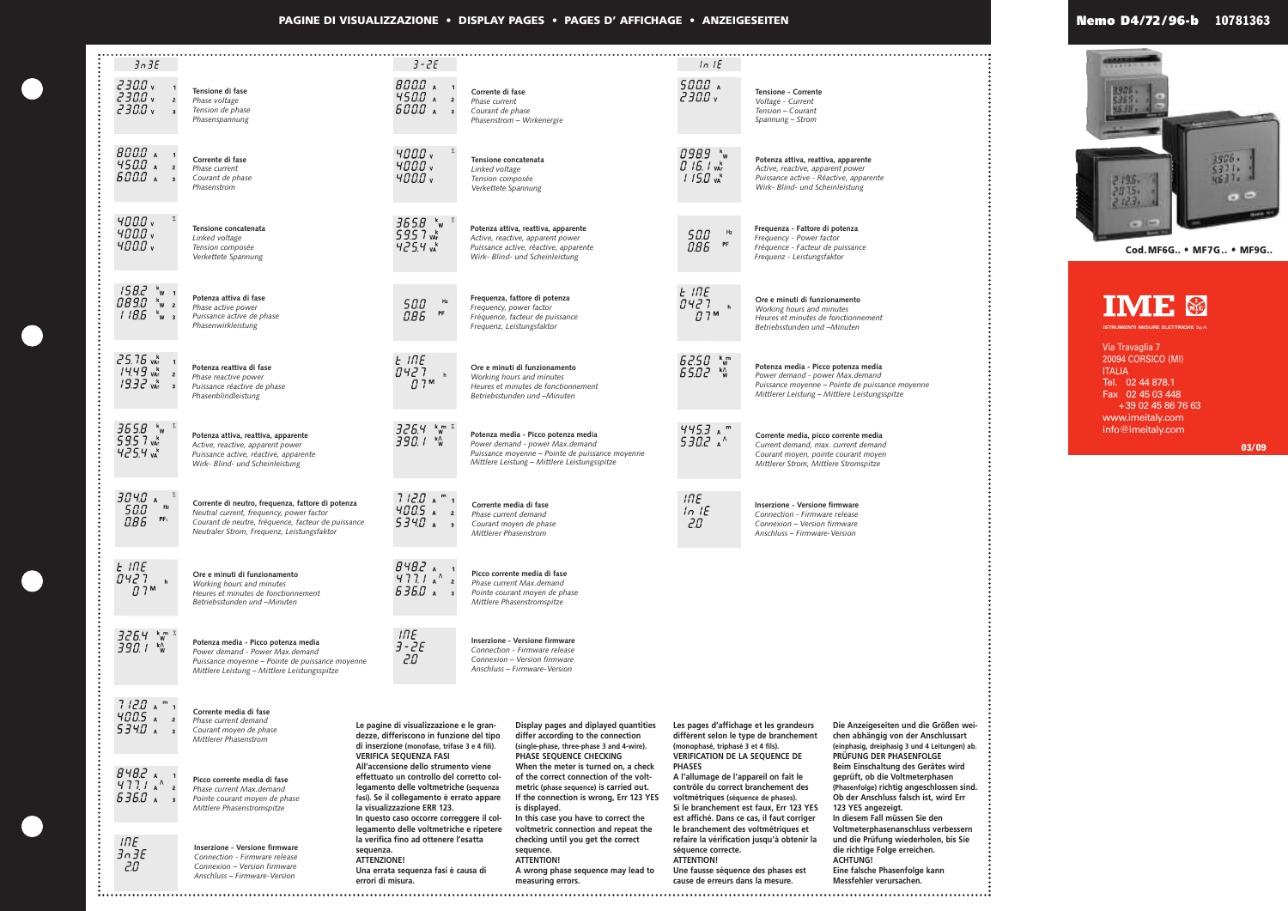**PAGINE DI VISUALIZZAZIONE • DISPLAY PAGES • PAGES D' AFFICHAGE • ANZEIGESEITEN**



Via Travaglia 7 20094 CORSICO (MI) **ITALIA** Tel. 02 44 878.1 Fax 02 45 03 448 +39 02 45 86 76 63 www.imeitaly.com info@imeitaly.com

**ISTRUMENTI MISURE ELETTRICHE** SpA



**Cod.MF6G.. • MF7G.. • MF9G..**



**03/09**

## **Nemo D4/72 / 96-b 10781363**